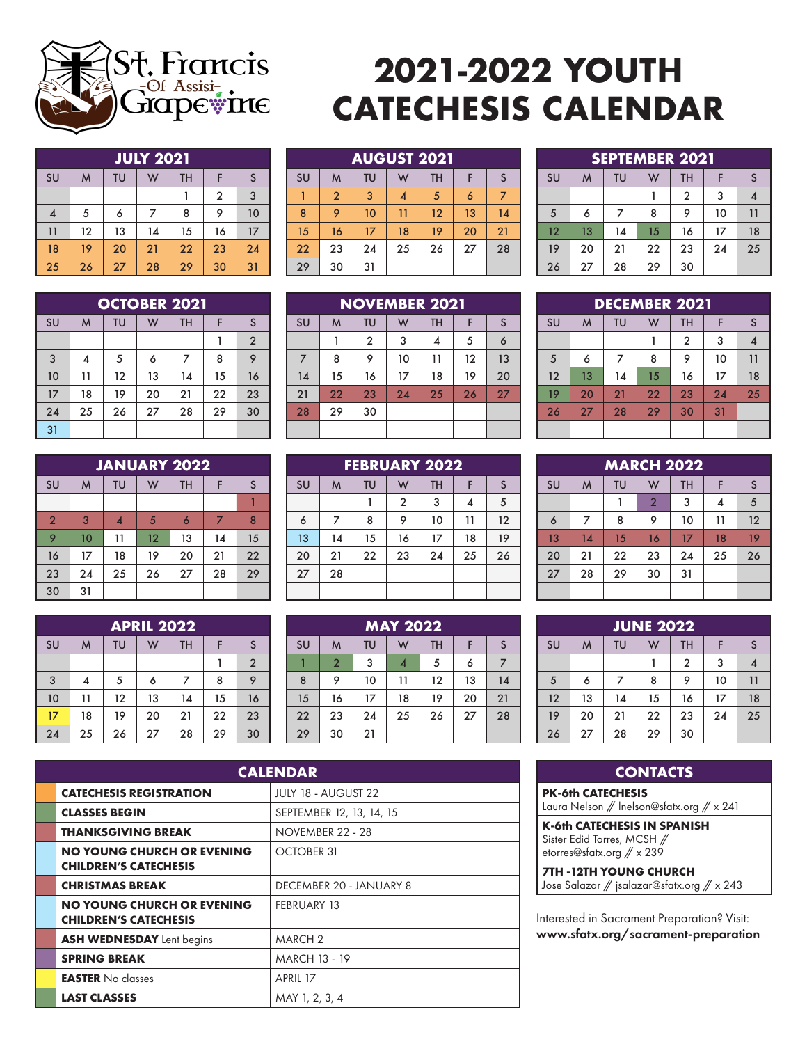

## **2021-2022 YOUTH CATECHESIS CALENDAR**

|                  | <b>JULY 2021</b> |    |    |           |                |    |  |  |
|------------------|------------------|----|----|-----------|----------------|----|--|--|
| SU               | M                | TU | W  | <b>TH</b> | F              | S  |  |  |
|                  |                  |    |    |           | $\overline{2}$ | 3  |  |  |
| $\boldsymbol{4}$ | 5                | 6  |    | 8         | 9              | 10 |  |  |
| 11               | 12               | 13 | 14 | 15        | 16             | 17 |  |  |
| 18               | 19               | 20 | 21 | 22        | 23             | 24 |  |  |
| 25               | 26               | 27 | 28 | 29        | 30             | 31 |  |  |

|  | SU | M              | TU | W  | <b>TH</b>         |    | <sub>S</sub> |
|--|----|----------------|----|----|-------------------|----|--------------|
|  |    | $\overline{2}$ | 3  | 4  | 5                 | 6  |              |
|  | 8  | 9              | 10 | 11 | $12 \overline{ }$ | 13 | 14           |
|  | 15 | 16             | 17 | 18 | 19                | 20 | 21           |
|  | 22 | 23             | 24 | 25 | 26                | 27 | 28           |
|  | 29 | 30             | 31 |    |                   |    |              |
|  |    |                |    |    |                   |    |              |

**AUGUST 2021**

|    | <b>OCTOBER 2021</b> |    |    |           |    |                |  |  |  |
|----|---------------------|----|----|-----------|----|----------------|--|--|--|
| SU | M                   | TU | W  | <b>TH</b> | F  | S              |  |  |  |
|    |                     |    |    |           |    | $\overline{2}$ |  |  |  |
| 3  | 4                   | 5  | 6  | 7         | 8  | 9              |  |  |  |
| 10 | 11                  | 12 | 13 | 14        | 15 | 16             |  |  |  |
| 17 | 18                  | 19 | 20 | 21        | 22 | 23             |  |  |  |
| 24 | 25                  | 26 | 27 | 28        | 29 | 30             |  |  |  |
| 31 |                     |    |    |           |    |                |  |  |  |

| <b>JANUARY 2022</b> |    |    |    |           |    |    |  |  |
|---------------------|----|----|----|-----------|----|----|--|--|
| SU                  | M  | TU | W  | <b>TH</b> | F  | S  |  |  |
|                     |    |    |    |           |    |    |  |  |
| $\overline{2}$      | 3  | 4  | 5  | 6         | 7  | 8  |  |  |
| 9                   | 10 | 11 | 12 | 13        | 14 | 15 |  |  |
| 16                  | 17 | 18 | 19 | 20        | 21 | 22 |  |  |
| 23                  | 24 | 25 | 26 | 27        | 28 | 29 |  |  |
| 30                  | 31 |    |    |           |    |    |  |  |

|           | <b>APRIL 2022</b> |    |    |           |    |                |  |  |
|-----------|-------------------|----|----|-----------|----|----------------|--|--|
| <b>SU</b> | M                 | TU | W  | <b>TH</b> | F  | S              |  |  |
|           |                   |    |    |           |    | $\overline{2}$ |  |  |
| 3         | 4                 | 5  | 6  | 7         | 8  | 9              |  |  |
| 10        | 11                | 12 | 13 | 14        | 15 | 16             |  |  |
| 17        | 18                | 19 | 20 | 21        | 22 | 23             |  |  |
| 24        | 25                | 26 | 27 | 28        | 29 | 30             |  |  |

|                | <b>NOVEMBER 2021</b> |                |    |           |    |    |  |  |  |
|----------------|----------------------|----------------|----|-----------|----|----|--|--|--|
| SU             | M                    | TU             | W  | <b>TH</b> | F  | S  |  |  |  |
|                |                      | $\overline{2}$ | 3  | 4         | 5  | 6  |  |  |  |
| $\overline{7}$ | 8                    | 9              | 10 | 11        | 12 | 13 |  |  |  |
| 14             | 15                   | 16             | 17 | 18        | 19 | 20 |  |  |  |
| 21             | 22                   | 23             | 24 | 25        | 26 | 27 |  |  |  |
| 28             | 29                   | 30             |    |           |    |    |  |  |  |
|                |                      |                |    |           |    |    |  |  |  |

| <b>FEBRUARY 2022</b> |    |    |                |           |    |    |  |
|----------------------|----|----|----------------|-----------|----|----|--|
| SU                   | M  | TU | W              | <b>TH</b> | F  | S  |  |
|                      |    |    | $\overline{2}$ | 3         |    | 5  |  |
| 6                    | 7  | 8  | 9              | 10        | 11 | 12 |  |
| 13                   | 14 | 15 | 16             | 17        | 18 | 19 |  |
| 20                   | 21 | 22 | 23             | 24        | 25 | 26 |  |
| 27                   | 28 |    |                |           |    |    |  |
|                      |    |    |                |           |    |    |  |

|    | <b>MAY 2022</b> |    |    |           |    |    |  |  |  |
|----|-----------------|----|----|-----------|----|----|--|--|--|
| SU | M               | TU | W  | <b>TH</b> | F  | S  |  |  |  |
|    | $\overline{2}$  | 3  | 4  | 5         | 6  |    |  |  |  |
| 8  | 9               | 10 | 11 | 12        | 13 | 14 |  |  |  |
| 15 | 16              | 17 | 18 | 19        | 20 | 21 |  |  |  |
| 22 | 23              | 24 | 25 | 26        | 27 | 28 |  |  |  |
| 29 | 30              | 21 |    |           |    |    |  |  |  |

| <b>CALENDAR</b>                                                   |                            |  |  |  |  |  |  |
|-------------------------------------------------------------------|----------------------------|--|--|--|--|--|--|
| <b>CATECHESIS REGISTRATION</b>                                    | <b>JULY 18 - AUGUST 22</b> |  |  |  |  |  |  |
| <b>CLASSES BEGIN</b>                                              | SEPTEMBER 12, 13, 14, 15   |  |  |  |  |  |  |
| <b>THANKSGIVING BREAK</b>                                         | NOVEMBER 22 - 28           |  |  |  |  |  |  |
| <b>NO YOUNG CHURCH OR EVENING</b><br><b>CHILDREN'S CATECHESIS</b> | OCTOBER 31                 |  |  |  |  |  |  |
| <b>CHRISTMAS BREAK</b>                                            | DECEMBER 20 - JANUARY 8    |  |  |  |  |  |  |
| <b>NO YOUNG CHURCH OR EVENING</b><br><b>CHILDREN'S CATECHESIS</b> | <b>FEBRUARY 13</b>         |  |  |  |  |  |  |
| ASH WEDNESDAY Lent begins                                         | <b>MARCH 2</b>             |  |  |  |  |  |  |
| <b>SPRING BREAK</b>                                               | <b>MARCH 13 - 19</b>       |  |  |  |  |  |  |
| <b>EASTER</b> No classes                                          | APRIL 17                   |  |  |  |  |  |  |
| <b>LAST CLASSES</b>                                               | MAY 1, 2, 3, 4             |  |  |  |  |  |  |

| <b>SEPTEMBER 2021</b> |    |    |    |                |    |    |  |  |
|-----------------------|----|----|----|----------------|----|----|--|--|
| <b>SU</b>             | M  | TU | W  | <b>TH</b>      | F  | S  |  |  |
|                       |    |    |    | $\overline{2}$ | 3  |    |  |  |
| 5                     | 6  | 7  | 8  | 9              | 10 | 11 |  |  |
| 12                    | 13 | 14 | 15 | 16             | 17 | 18 |  |  |
| 19                    | 20 | 21 | 22 | 23             | 24 | 25 |  |  |
| 26                    | 27 | 28 | 29 | 30             |    |    |  |  |

| <b>DECEMBER 2021</b> |    |    |    |                |    |    |  |
|----------------------|----|----|----|----------------|----|----|--|
| SU                   | M  | TU | W  | TH             | F  | S  |  |
|                      |    |    |    | $\overline{2}$ | 3  |    |  |
| 5                    | 6  | 7  | 8  | 9              | 10 | 11 |  |
| 12                   | 13 | 14 | 15 | 16             | 17 | 18 |  |
| 19                   | 20 | 21 | 22 | 23             | 24 | 25 |  |
| 26                   | 27 | 28 | 29 | 30             | 31 |    |  |
|                      |    |    |    |                |    |    |  |

| <b>MARCH 2022</b> |    |    |                |           |    |    |  |  |
|-------------------|----|----|----------------|-----------|----|----|--|--|
| SU                | M  | TU | W              | <b>TH</b> | F  | S  |  |  |
|                   |    |    | $\overline{2}$ | 3         | 4  | 5  |  |  |
| 6                 | 7  | 8  | 9              | 10        | 11 | 12 |  |  |
| 13                | 14 | 15 | 16             | 17        | 18 | 19 |  |  |
| 20                | 21 | 22 | 23             | 24        | 25 | 26 |  |  |
| 27                | 28 | 29 | 30             | 31        |    |    |  |  |
|                   |    |    |                |           |    |    |  |  |

| <b>JUNE 2022</b> |    |    |    |           |    |    |  |  |  |  |
|------------------|----|----|----|-----------|----|----|--|--|--|--|
| SU               | M  | TU | W  | <b>TH</b> | F  | S  |  |  |  |  |
|                  |    |    |    | 2         | 3  |    |  |  |  |  |
| 5                | 6  | 7  | 8  | 9         | 10 | 11 |  |  |  |  |
| 12               | 13 | 14 | 15 | 16        | 17 | 18 |  |  |  |  |
| 19               | 20 | 21 | 22 | 23        | 24 | 25 |  |  |  |  |
| 26               | 27 | 28 | 29 | 30        |    |    |  |  |  |  |

| <b>CONTACTS</b>                                                        |
|------------------------------------------------------------------------|
| <b>PK-6th CATECHESIS</b><br>Laura Nelson // Inelson@sfatx.org // x 241 |
|                                                                        |
| K-6th CATECHESIS IN SPANISH                                            |

Sister Edid Torres, MCSH // etorres@sfatx.org // x 239

**7TH -12TH YOUNG CHURCH** Jose Salazar // jsalazar@sfatx.org // x 243

Interested in Sacrament Preparation? Visit: www.sfatx.org/sacrament-preparation